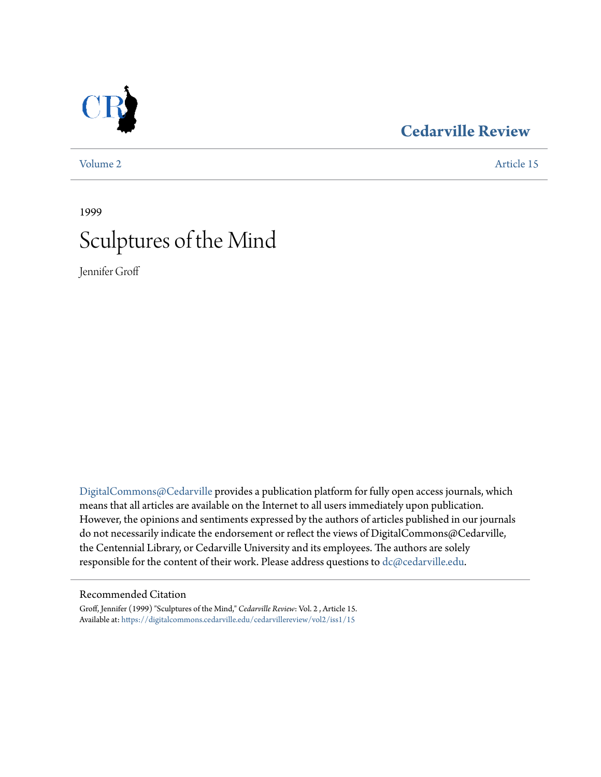## **[Cedarville Review](https://digitalcommons.cedarville.edu/cedarvillereview?utm_source=digitalcommons.cedarville.edu%2Fcedarvillereview%2Fvol2%2Fiss1%2F15&utm_medium=PDF&utm_campaign=PDFCoverPages)**

[Volume 2](https://digitalcommons.cedarville.edu/cedarvillereview/vol2?utm_source=digitalcommons.cedarville.edu%2Fcedarvillereview%2Fvol2%2Fiss1%2F15&utm_medium=PDF&utm_campaign=PDFCoverPages) [Article 15](https://digitalcommons.cedarville.edu/cedarvillereview/vol2/iss1/15?utm_source=digitalcommons.cedarville.edu%2Fcedarvillereview%2Fvol2%2Fiss1%2F15&utm_medium=PDF&utm_campaign=PDFCoverPages)

# 1999 Sculptures of the Mind

Jennifer Groff

[DigitalCommons@Cedarville](http://digitalcommons.cedarville.edu) provides a publication platform for fully open access journals, which means that all articles are available on the Internet to all users immediately upon publication. However, the opinions and sentiments expressed by the authors of articles published in our journals do not necessarily indicate the endorsement or reflect the views of DigitalCommons@Cedarville, the Centennial Library, or Cedarville University and its employees. The authors are solely responsible for the content of their work. Please address questions to [dc@cedarville.edu](mailto:dc@cedarville.edu).

### Recommended Citation

Groff, Jennifer (1999) "Sculptures of the Mind," *Cedarville Review*: Vol. 2 , Article 15. Available at: [https://digitalcommons.cedarville.edu/cedarvillereview/vol2/iss1/15](https://digitalcommons.cedarville.edu/cedarvillereview/vol2/iss1/15?utm_source=digitalcommons.cedarville.edu%2Fcedarvillereview%2Fvol2%2Fiss1%2F15&utm_medium=PDF&utm_campaign=PDFCoverPages)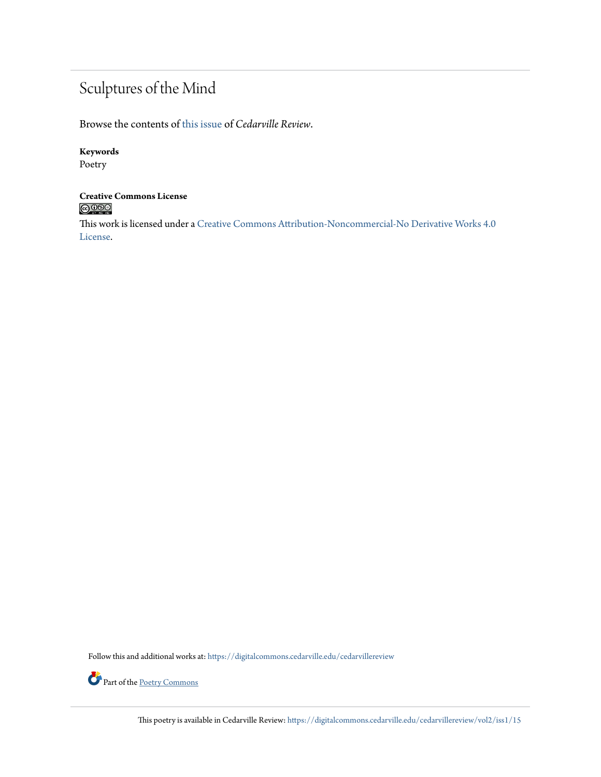## Sculptures of the Mind

Browse the contents of [this issue](https://digitalcommons.cedarville.edu/cedarvillereview/vol2/iss1) of *Cedarville Review*.

### **Keywords**

Poetry

# **Creative Commons License**<br> **C** 000

This work is licensed under a [Creative Commons Attribution-Noncommercial-No Derivative Works 4.0](http://creativecommons.org/licenses/by-nc-nd/4.0/) [License.](http://creativecommons.org/licenses/by-nc-nd/4.0/)

Follow this and additional works at: [https://digitalcommons.cedarville.edu/cedarvillereview](https://digitalcommons.cedarville.edu/cedarvillereview?utm_source=digitalcommons.cedarville.edu%2Fcedarvillereview%2Fvol2%2Fiss1%2F15&utm_medium=PDF&utm_campaign=PDFCoverPages)



This poetry is available in Cedarville Review: [https://digitalcommons.cedarville.edu/cedarvillereview/vol2/iss1/15](https://digitalcommons.cedarville.edu/cedarvillereview/vol2/iss1/15?utm_source=digitalcommons.cedarville.edu%2Fcedarvillereview%2Fvol2%2Fiss1%2F15&utm_medium=PDF&utm_campaign=PDFCoverPages)